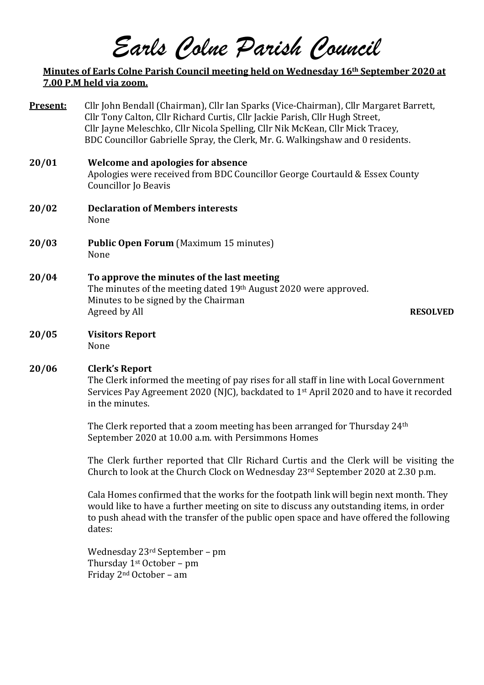# *Earls Colne Parish Council*

# **Minutes of Earls Colne Parish Council meeting held on Wednesday 16th September 2020 at 7.00 P.M held via zoom.**

| Present: | Cllr John Bendall (Chairman), Cllr Ian Sparks (Vice-Chairman), Cllr Margaret Barrett,<br>Cllr Tony Calton, Cllr Richard Curtis, Cllr Jackie Parish, Cllr Hugh Street,<br>Cllr Jayne Meleschko, Cllr Nicola Spelling, Cllr Nik McKean, Cllr Mick Tracey,<br>BDC Councillor Gabrielle Spray, the Clerk, Mr. G. Walkingshaw and 0 residents. |  |  |
|----------|-------------------------------------------------------------------------------------------------------------------------------------------------------------------------------------------------------------------------------------------------------------------------------------------------------------------------------------------|--|--|
| 20/01    | <b>Welcome and apologies for absence</b><br>Apologies were received from BDC Councillor George Courtauld & Essex County<br><b>Councillor Jo Beavis</b>                                                                                                                                                                                    |  |  |
| 20/02    | <b>Declaration of Members interests</b><br>None                                                                                                                                                                                                                                                                                           |  |  |
| 20/03    | <b>Public Open Forum</b> (Maximum 15 minutes)<br>None                                                                                                                                                                                                                                                                                     |  |  |
| 20/04    | To approve the minutes of the last meeting<br>The minutes of the meeting dated 19th August 2020 were approved.<br>Minutes to be signed by the Chairman<br>Agreed by All<br><b>RESOLVED</b>                                                                                                                                                |  |  |
| 20/05    | <b>Visitors Report</b><br>None                                                                                                                                                                                                                                                                                                            |  |  |
| 20/06    | <b>Clerk's Report</b><br>The Clerk informed the meeting of pay rises for all staff in line with Local Government<br>Services Pay Agreement 2020 (NJC), backdated to 1st April 2020 and to have it recorded<br>in the minutes.                                                                                                             |  |  |
|          | The Clerk reported that a zoom meeting has been arranged for Thursday 24 <sup>th</sup><br>September 2020 at 10.00 a.m. with Persimmons Homes                                                                                                                                                                                              |  |  |
|          | The Clerk further reported that Cllr Richard Curtis and the Clerk will be visiting the<br>Church to look at the Church Clock on Wednesday 23rd September 2020 at 2.30 p.m.                                                                                                                                                                |  |  |
|          | Cala Homes confirmed that the works for the footpath link will begin next month. They<br>would like to have a further meeting on site to discuss any outstanding items, in order<br>to push ahead with the transfer of the public open space and have offered the following<br>dates:                                                     |  |  |
|          | Wednesday $23rd$ September – pm<br>Thursday $1st October – pm$<br>$\Gamma$ $\cdot$ 1. $\Omega$ and $\Omega$ $\cdot$ 1.                                                                                                                                                                                                                    |  |  |

Friday 2nd October – am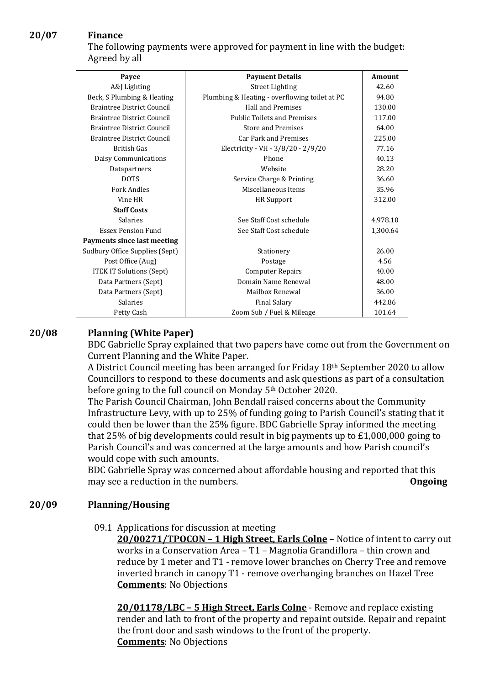# **20/07 Finance**

The following payments were approved for payment in line with the budget: Agreed by all

| Payee                              | <b>Payment Details</b>                        | Amount   |
|------------------------------------|-----------------------------------------------|----------|
| A&J Lighting                       | <b>Street Lighting</b>                        | 42.60    |
|                                    |                                               | 94.80    |
| Beck, S Plumbing & Heating         | Plumbing & Heating - overflowing toilet at PC |          |
| <b>Braintree District Council</b>  | <b>Hall and Premises</b>                      | 130.00   |
| <b>Braintree District Council</b>  | <b>Public Toilets and Premises</b>            | 117.00   |
| <b>Braintree District Council</b>  | <b>Store and Premises</b>                     | 64.00    |
| <b>Braintree District Council</b>  | <b>Car Park and Premises</b>                  | 225.00   |
| British Gas                        | Electricity - VH - 3/8/20 - 2/9/20            | 77.16    |
| Daisy Communications               | Phone                                         | 40.13    |
| Datapartners                       | Website                                       | 28.20    |
| DOTS                               | Service Charge & Printing                     | 36.60    |
| <b>Fork Andles</b>                 | Miscellaneous items                           | 35.96    |
| Vine HR                            | <b>HR</b> Support                             | 312.00   |
| <b>Staff Costs</b>                 |                                               |          |
| Salaries                           | See Staff Cost schedule                       | 4,978.10 |
| <b>Essex Pension Fund</b>          | See Staff Cost schedule                       | 1,300.64 |
| <b>Payments since last meeting</b> |                                               |          |
| Sudbury Office Supplies (Sept)     | Stationery                                    | 26.00    |
| Post Office (Aug)                  | Postage                                       | 4.56     |
| <b>ITEK IT Solutions (Sept)</b>    | <b>Computer Repairs</b>                       | 40.00    |
| Data Partners (Sept)               | Domain Name Renewal                           | 48.00    |
| Data Partners (Sept)               | Mailbox Renewal                               | 36.00    |
| Salaries                           | <b>Final Salary</b>                           | 442.86   |
| Petty Cash                         | Zoom Sub / Fuel & Mileage                     | 101.64   |

### **20/08 Planning (White Paper)**

BDC Gabrielle Spray explained that two papers have come out from the Government on Current Planning and the White Paper.

A District Council meeting has been arranged for Friday 18th September 2020 to allow Councillors to respond to these documents and ask questions as part of a consultation before going to the full council on Monday 5th October 2020.

The Parish Council Chairman, John Bendall raised concerns about the Community Infrastructure Levy, with up to 25% of funding going to Parish Council's stating that it could then be lower than the 25% figure. BDC Gabrielle Spray informed the meeting that 25% of big developments could result in big payments up to £1,000,000 going to Parish Council's and was concerned at the large amounts and how Parish council's would cope with such amounts.

BDC Gabrielle Spray was concerned about affordable housing and reported that this may see a reduction in the numbers. **Ongoing**

### **20/09 Planning/Housing**

09.1 Applications for discussion at meeting

**20/00271/TPOCON – 1 High Street, Earls Colne** – Notice of intent to carry out works in a Conservation Area – T1 – Magnolia Grandiflora – thin crown and reduce by 1 meter and T1 - remove lower branches on Cherry Tree and remove inverted branch in canopy T1 - remove overhanging branches on Hazel Tree **Comments**: No Objections

**20/01178/LBC – 5 High Street, Earls Colne** - Remove and replace existing render and lath to front of the property and repaint outside. Repair and repaint the front door and sash windows to the front of the property. **Comments**: No Objections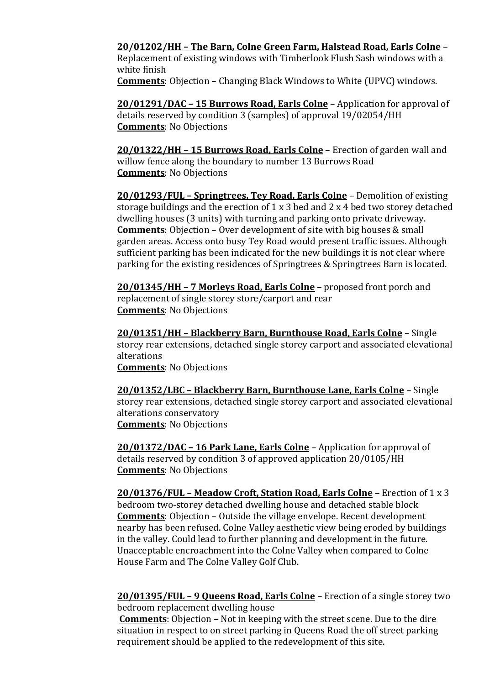# **20/01202/HH – The Barn, Colne Green Farm, Halstead Road, Earls Colne** –

Replacement of existing windows with Timberlook Flush Sash windows with a white finish

**Comments**: Objection – Changing Black Windows to White (UPVC) windows.

**20/01291/DAC – 15 Burrows Road, Earls Colne** – Application for approval of details reserved by condition 3 (samples) of approval 19/02054/HH **Comments**: No Objections

**20/01322/HH – 15 Burrows Road, Earls Colne** – Erection of garden wall and willow fence along the boundary to number 13 Burrows Road **Comments**: No Objections

**20/01293/FUL – Springtrees, Tey Road, Earls Colne** – Demolition of existing storage buildings and the erection of 1 x 3 bed and 2 x 4 bed two storey detached dwelling houses (3 units) with turning and parking onto private driveway. **Comments**: Objection – Over development of site with big houses & small garden areas. Access onto busy Tey Road would present traffic issues. Although sufficient parking has been indicated for the new buildings it is not clear where parking for the existing residences of Springtrees & Springtrees Barn is located.

**20/01345/HH – 7 Morleys Road, Earls Colne** – proposed front porch and replacement of single storey store/carport and rear **Comments**: No Objections

**20/01351/HH – Blackberry Barn, Burnthouse Road, Earls Colne** – Single storey rear extensions, detached single storey carport and associated elevational alterations **Comments**: No Objections

**20/01352/LBC – Blackberry Barn, Burnthouse Lane, Earls Colne** – Single storey rear extensions, detached single storey carport and associated elevational alterations conservatory **Comments**: No Objections

**20/01372/DAC – 16 Park Lane, Earls Colne** – Application for approval of details reserved by condition 3 of approved application 20/0105/HH **Comments**: No Objections

**20/01376/FUL – Meadow Croft, Station Road, Earls Colne** – Erection of 1 x 3 bedroom two-storey detached dwelling house and detached stable block **Comments**: Objection – Outside the village envelope. Recent development nearby has been refused. Colne Valley aesthetic view being eroded by buildings in the valley. Could lead to further planning and development in the future. Unacceptable encroachment into the Colne Valley when compared to Colne House Farm and The Colne Valley Golf Club.

**20/01395/FUL – 9 Queens Road, Earls Colne** – Erection of a single storey two bedroom replacement dwelling house

**Comments**: Objection – Not in keeping with the street scene. Due to the dire situation in respect to on street parking in Queens Road the off street parking requirement should be applied to the redevelopment of this site.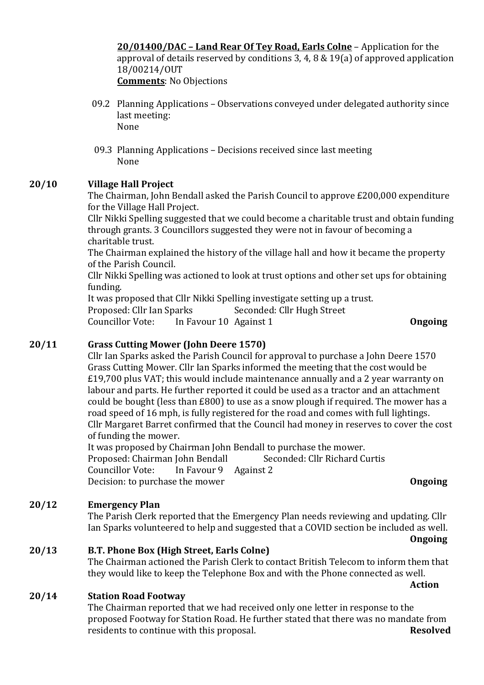**20/01400/DAC – Land Rear Of Tey Road, Earls Colne** – Application for the approval of details reserved by conditions 3, 4, 8 & 19(a) of approved application 18/00214/OUT **Comments**: No Objections

- 09.2 Planning Applications Observations conveyed under delegated authority since last meeting: None
- 09.3 Planning Applications Decisions received since last meeting None

# **20/10 Village Hall Project**

The Chairman, John Bendall asked the Parish Council to approve £200,000 expenditure for the Village Hall Project.

Cllr Nikki Spelling suggested that we could become a charitable trust and obtain funding through grants. 3 Councillors suggested they were not in favour of becoming a charitable trust.

The Chairman explained the history of the village hall and how it became the property of the Parish Council.

Cllr Nikki Spelling was actioned to look at trust options and other set ups for obtaining funding.

It was proposed that Cllr Nikki Spelling investigate setting up a trust. Proposed: Cllr Ian Sparks Seconded: Cllr Hugh Street Councillor Vote: In Favour 10 Against 1 **Ongoing**

# **20/11 Grass Cutting Mower (John Deere 1570)**

Cllr Ian Sparks asked the Parish Council for approval to purchase a John Deere 1570 Grass Cutting Mower. Cllr Ian Sparks informed the meeting that the cost would be £19,700 plus VAT; this would include maintenance annually and a 2 year warranty on labour and parts. He further reported it could be used as a tractor and an attachment could be bought (less than £800) to use as a snow plough if required. The mower has a road speed of 16 mph, is fully registered for the road and comes with full lightings. Cllr Margaret Barret confirmed that the Council had money in reserves to cover the cost of funding the mower.

It was proposed by Chairman John Bendall to purchase the mower. Proposed: Chairman John Bendall Seconded: Cllr Richard Curtis Councillor Vote: In Favour 9 Against 2 Decision: to purchase the mower **Ongoing** 

# **20/12 Emergency Plan**

The Parish Clerk reported that the Emergency Plan needs reviewing and updating. Cllr Ian Sparks volunteered to help and suggested that a COVID section be included as well.

**20/13 B.T. Phone Box (High Street, Earls Colne)** The Chairman actioned the Parish Clerk to contact British Telecom to inform them that they would like to keep the Telephone Box and with the Phone connected as well.

#### **20/14 Station Road Footway**

The Chairman reported that we had received only one letter in response to the proposed Footway for Station Road. He further stated that there was no mandate from residents to continue with this proposal. **Resolved**

**Ongoing**

**Action**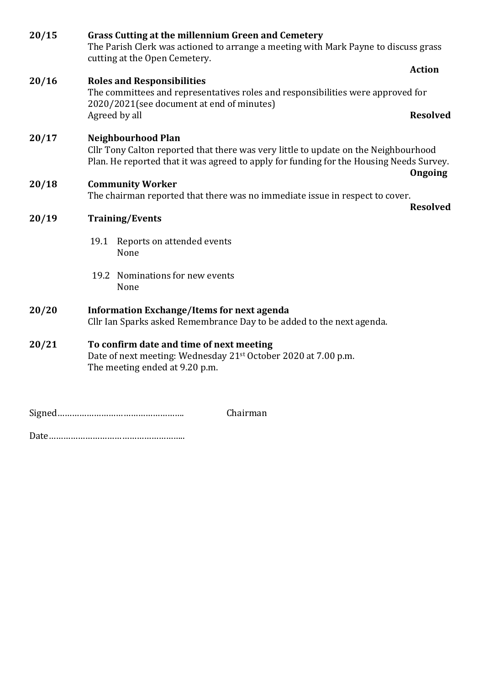| 20/15 | Grass Cutting at the millennium Green and Cemetery<br>The Parish Clerk was actioned to arrange a meeting with Mark Payne to discuss grass<br>cutting at the Open Cemetery.                                             |                 |  |
|-------|------------------------------------------------------------------------------------------------------------------------------------------------------------------------------------------------------------------------|-----------------|--|
|       |                                                                                                                                                                                                                        | <b>Action</b>   |  |
| 20/16 | <b>Roles and Responsibilities</b><br>The committees and representatives roles and responsibilities were approved for<br>2020/2021(see document at end of minutes)                                                      |                 |  |
|       | Agreed by all                                                                                                                                                                                                          | <b>Resolved</b> |  |
| 20/17 | <b>Neighbourhood Plan</b><br>Cllr Tony Calton reported that there was very little to update on the Neighbourhood<br>Plan. He reported that it was agreed to apply for funding for the Housing Needs Survey.<br>Ongoing |                 |  |
| 20/18 | <b>Community Worker</b>                                                                                                                                                                                                |                 |  |
|       | The chairman reported that there was no immediate issue in respect to cover.                                                                                                                                           |                 |  |
| 20/19 | <b>Resolved</b><br><b>Training/Events</b>                                                                                                                                                                              |                 |  |
|       | 19.1<br>Reports on attended events<br>None                                                                                                                                                                             |                 |  |
|       | 19.2 Nominations for new events<br>None                                                                                                                                                                                |                 |  |
| 20/20 | <b>Information Exchange/Items for next agenda</b><br>Cllr Ian Sparks asked Remembrance Day to be added to the next agenda.                                                                                             |                 |  |
| 20/21 | To confirm date and time of next meeting<br>Date of next meeting: Wednesday 21 <sup>st</sup> October 2020 at 7.00 p.m.<br>The meeting ended at 9.20 p.m.                                                               |                 |  |
|       | Chairman                                                                                                                                                                                                               |                 |  |
|       |                                                                                                                                                                                                                        |                 |  |